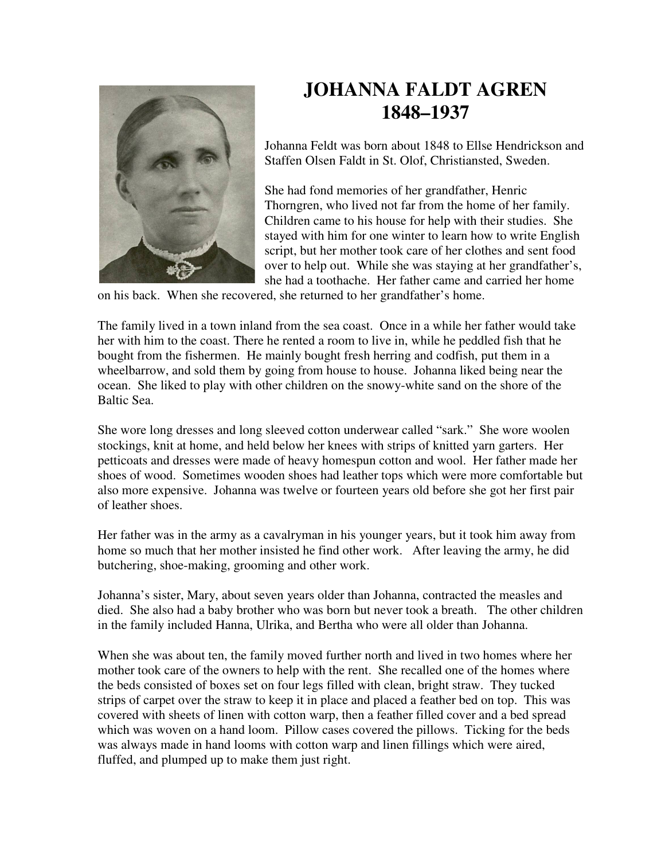

## **JOHANNA FALDT AGREN 1848–1937**

Johanna Feldt was born about 1848 to Ellse Hendrickson and Staffen Olsen Faldt in St. Olof, Christiansted, Sweden.

She had fond memories of her grandfather, Henric Thorngren, who lived not far from the home of her family. Children came to his house for help with their studies. She stayed with him for one winter to learn how to write English script, but her mother took care of her clothes and sent food over to help out. While she was staying at her grandfather's, she had a toothache. Her father came and carried her home

on his back. When she recovered, she returned to her grandfather's home.

The family lived in a town inland from the sea coast. Once in a while her father would take her with him to the coast. There he rented a room to live in, while he peddled fish that he bought from the fishermen. He mainly bought fresh herring and codfish, put them in a wheelbarrow, and sold them by going from house to house. Johanna liked being near the ocean. She liked to play with other children on the snowy-white sand on the shore of the Baltic Sea.

She wore long dresses and long sleeved cotton underwear called "sark." She wore woolen stockings, knit at home, and held below her knees with strips of knitted yarn garters. Her petticoats and dresses were made of heavy homespun cotton and wool. Her father made her shoes of wood. Sometimes wooden shoes had leather tops which were more comfortable but also more expensive. Johanna was twelve or fourteen years old before she got her first pair of leather shoes.

Her father was in the army as a cavalryman in his younger years, but it took him away from home so much that her mother insisted he find other work. After leaving the army, he did butchering, shoe-making, grooming and other work.

Johanna's sister, Mary, about seven years older than Johanna, contracted the measles and died. She also had a baby brother who was born but never took a breath. The other children in the family included Hanna, Ulrika, and Bertha who were all older than Johanna.

When she was about ten, the family moved further north and lived in two homes where her mother took care of the owners to help with the rent. She recalled one of the homes where the beds consisted of boxes set on four legs filled with clean, bright straw. They tucked strips of carpet over the straw to keep it in place and placed a feather bed on top. This was covered with sheets of linen with cotton warp, then a feather filled cover and a bed spread which was woven on a hand loom. Pillow cases covered the pillows. Ticking for the beds was always made in hand looms with cotton warp and linen fillings which were aired, fluffed, and plumped up to make them just right.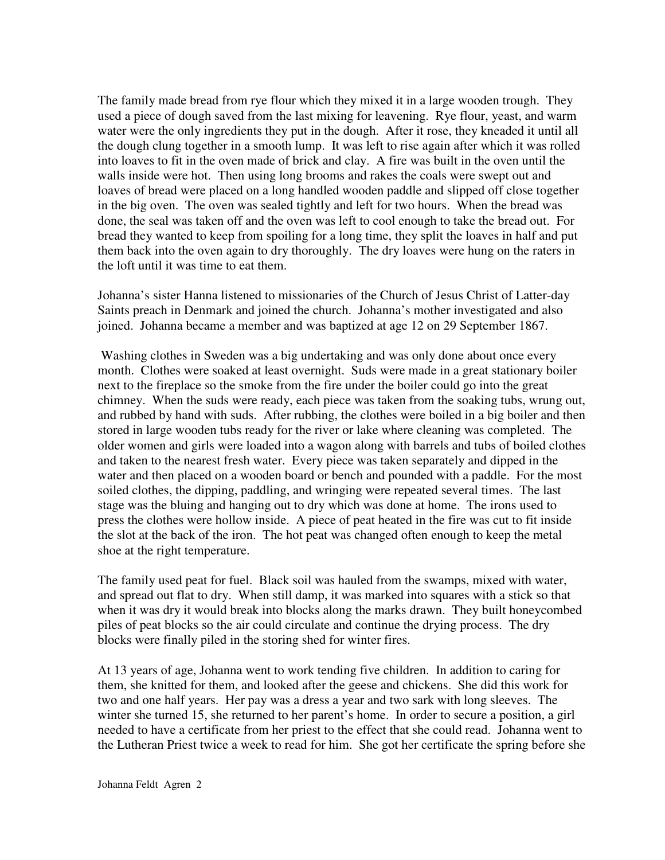The family made bread from rye flour which they mixed it in a large wooden trough. They used a piece of dough saved from the last mixing for leavening. Rye flour, yeast, and warm water were the only ingredients they put in the dough. After it rose, they kneaded it until all the dough clung together in a smooth lump. It was left to rise again after which it was rolled into loaves to fit in the oven made of brick and clay. A fire was built in the oven until the walls inside were hot. Then using long brooms and rakes the coals were swept out and loaves of bread were placed on a long handled wooden paddle and slipped off close together in the big oven. The oven was sealed tightly and left for two hours. When the bread was done, the seal was taken off and the oven was left to cool enough to take the bread out. For bread they wanted to keep from spoiling for a long time, they split the loaves in half and put them back into the oven again to dry thoroughly. The dry loaves were hung on the raters in the loft until it was time to eat them.

Johanna's sister Hanna listened to missionaries of the Church of Jesus Christ of Latter-day Saints preach in Denmark and joined the church. Johanna's mother investigated and also joined. Johanna became a member and was baptized at age 12 on 29 September 1867.

 Washing clothes in Sweden was a big undertaking and was only done about once every month. Clothes were soaked at least overnight. Suds were made in a great stationary boiler next to the fireplace so the smoke from the fire under the boiler could go into the great chimney. When the suds were ready, each piece was taken from the soaking tubs, wrung out, and rubbed by hand with suds. After rubbing, the clothes were boiled in a big boiler and then stored in large wooden tubs ready for the river or lake where cleaning was completed. The older women and girls were loaded into a wagon along with barrels and tubs of boiled clothes and taken to the nearest fresh water. Every piece was taken separately and dipped in the water and then placed on a wooden board or bench and pounded with a paddle. For the most soiled clothes, the dipping, paddling, and wringing were repeated several times. The last stage was the bluing and hanging out to dry which was done at home. The irons used to press the clothes were hollow inside. A piece of peat heated in the fire was cut to fit inside the slot at the back of the iron. The hot peat was changed often enough to keep the metal shoe at the right temperature.

The family used peat for fuel. Black soil was hauled from the swamps, mixed with water, and spread out flat to dry. When still damp, it was marked into squares with a stick so that when it was dry it would break into blocks along the marks drawn. They built honeycombed piles of peat blocks so the air could circulate and continue the drying process. The dry blocks were finally piled in the storing shed for winter fires.

At 13 years of age, Johanna went to work tending five children. In addition to caring for them, she knitted for them, and looked after the geese and chickens. She did this work for two and one half years. Her pay was a dress a year and two sark with long sleeves. The winter she turned 15, she returned to her parent's home. In order to secure a position, a girl needed to have a certificate from her priest to the effect that she could read. Johanna went to the Lutheran Priest twice a week to read for him. She got her certificate the spring before she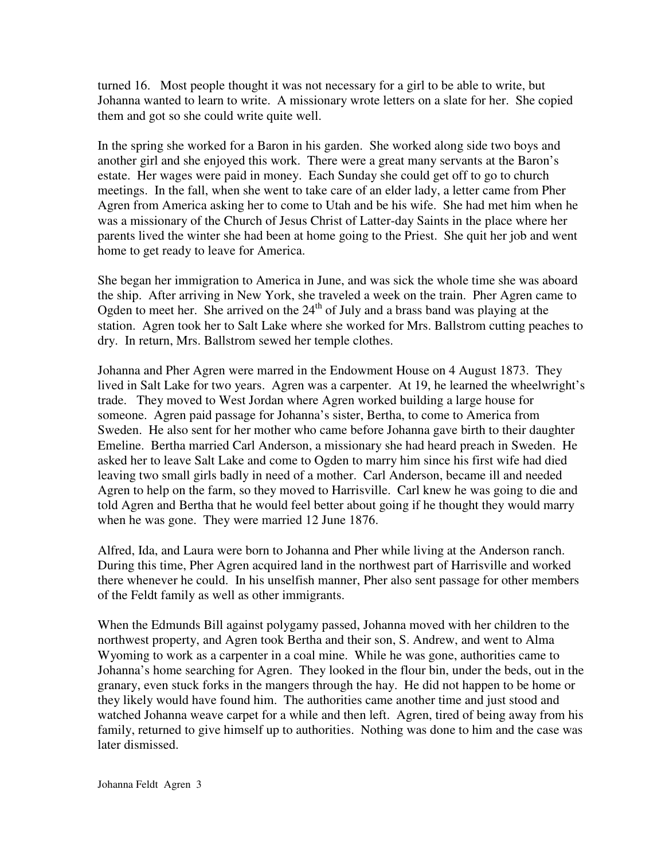turned 16. Most people thought it was not necessary for a girl to be able to write, but Johanna wanted to learn to write. A missionary wrote letters on a slate for her. She copied them and got so she could write quite well.

In the spring she worked for a Baron in his garden. She worked along side two boys and another girl and she enjoyed this work. There were a great many servants at the Baron's estate. Her wages were paid in money. Each Sunday she could get off to go to church meetings. In the fall, when she went to take care of an elder lady, a letter came from Pher Agren from America asking her to come to Utah and be his wife. She had met him when he was a missionary of the Church of Jesus Christ of Latter-day Saints in the place where her parents lived the winter she had been at home going to the Priest. She quit her job and went home to get ready to leave for America.

She began her immigration to America in June, and was sick the whole time she was aboard the ship. After arriving in New York, she traveled a week on the train. Pher Agren came to Ogden to meet her. She arrived on the  $24<sup>th</sup>$  of July and a brass band was playing at the station. Agren took her to Salt Lake where she worked for Mrs. Ballstrom cutting peaches to dry. In return, Mrs. Ballstrom sewed her temple clothes.

Johanna and Pher Agren were marred in the Endowment House on 4 August 1873. They lived in Salt Lake for two years. Agren was a carpenter. At 19, he learned the wheelwright's trade. They moved to West Jordan where Agren worked building a large house for someone. Agren paid passage for Johanna's sister, Bertha, to come to America from Sweden. He also sent for her mother who came before Johanna gave birth to their daughter Emeline. Bertha married Carl Anderson, a missionary she had heard preach in Sweden. He asked her to leave Salt Lake and come to Ogden to marry him since his first wife had died leaving two small girls badly in need of a mother. Carl Anderson, became ill and needed Agren to help on the farm, so they moved to Harrisville. Carl knew he was going to die and told Agren and Bertha that he would feel better about going if he thought they would marry when he was gone. They were married 12 June 1876.

Alfred, Ida, and Laura were born to Johanna and Pher while living at the Anderson ranch. During this time, Pher Agren acquired land in the northwest part of Harrisville and worked there whenever he could. In his unselfish manner, Pher also sent passage for other members of the Feldt family as well as other immigrants.

When the Edmunds Bill against polygamy passed, Johanna moved with her children to the northwest property, and Agren took Bertha and their son, S. Andrew, and went to Alma Wyoming to work as a carpenter in a coal mine. While he was gone, authorities came to Johanna's home searching for Agren. They looked in the flour bin, under the beds, out in the granary, even stuck forks in the mangers through the hay. He did not happen to be home or they likely would have found him. The authorities came another time and just stood and watched Johanna weave carpet for a while and then left. Agren, tired of being away from his family, returned to give himself up to authorities. Nothing was done to him and the case was later dismissed.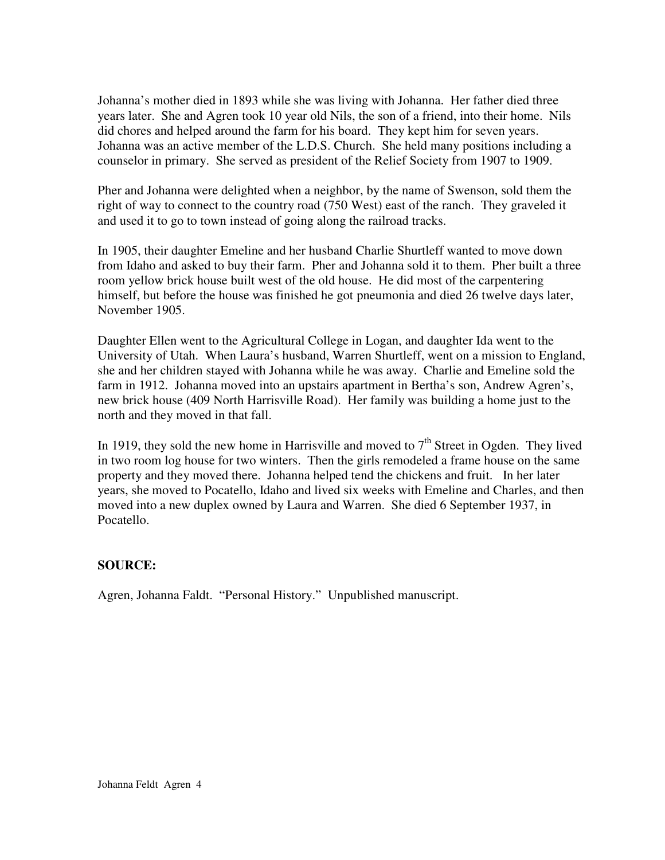Johanna's mother died in 1893 while she was living with Johanna. Her father died three years later. She and Agren took 10 year old Nils, the son of a friend, into their home. Nils did chores and helped around the farm for his board. They kept him for seven years. Johanna was an active member of the L.D.S. Church. She held many positions including a counselor in primary. She served as president of the Relief Society from 1907 to 1909.

Pher and Johanna were delighted when a neighbor, by the name of Swenson, sold them the right of way to connect to the country road (750 West) east of the ranch. They graveled it and used it to go to town instead of going along the railroad tracks.

In 1905, their daughter Emeline and her husband Charlie Shurtleff wanted to move down from Idaho and asked to buy their farm. Pher and Johanna sold it to them. Pher built a three room yellow brick house built west of the old house. He did most of the carpentering himself, but before the house was finished he got pneumonia and died 26 twelve days later, November 1905.

Daughter Ellen went to the Agricultural College in Logan, and daughter Ida went to the University of Utah. When Laura's husband, Warren Shurtleff, went on a mission to England, she and her children stayed with Johanna while he was away. Charlie and Emeline sold the farm in 1912. Johanna moved into an upstairs apartment in Bertha's son, Andrew Agren's, new brick house (409 North Harrisville Road). Her family was building a home just to the north and they moved in that fall.

In 1919, they sold the new home in Harrisville and moved to  $7<sup>th</sup>$  Street in Ogden. They lived in two room log house for two winters. Then the girls remodeled a frame house on the same property and they moved there. Johanna helped tend the chickens and fruit. In her later years, she moved to Pocatello, Idaho and lived six weeks with Emeline and Charles, and then moved into a new duplex owned by Laura and Warren. She died 6 September 1937, in Pocatello.

## **SOURCE:**

Agren, Johanna Faldt. "Personal History." Unpublished manuscript.